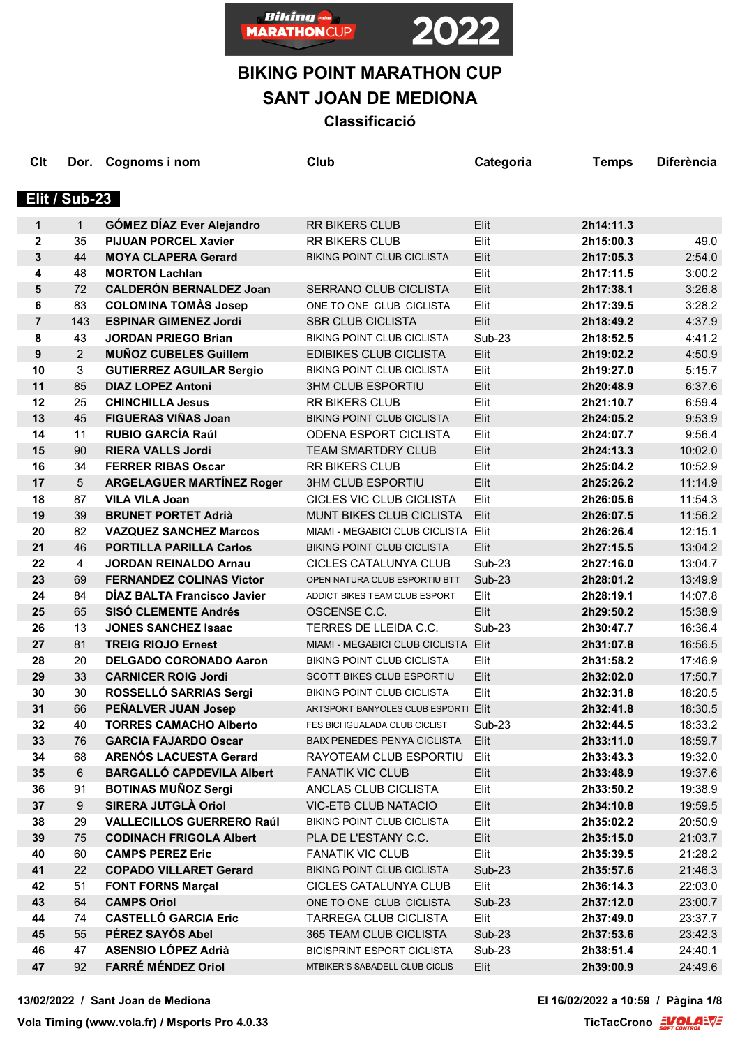

# **BIKING POINT MARATHON CUP**

**SANT JOAN DE MEDIONA**

**Classificació**

| Clt            | Dor.             | Cognoms i nom                    | Club                                | Categoria     | <b>Temps</b> | <b>Diferència</b> |
|----------------|------------------|----------------------------------|-------------------------------------|---------------|--------------|-------------------|
|                | Elit / Sub-23    |                                  |                                     |               |              |                   |
| 1              | $\mathbf{1}$     | <b>GÓMEZ DÍAZ Ever Alejandro</b> | <b>RR BIKERS CLUB</b>               | Elit          | 2h14:11.3    |                   |
| $\mathbf{2}$   | 35               | <b>PIJUAN PORCEL Xavier</b>      | <b>RR BIKERS CLUB</b>               | Elit          | 2h15:00.3    | 49.0              |
| 3              | 44               | <b>MOYA CLAPERA Gerard</b>       | <b>BIKING POINT CLUB CICLISTA</b>   | Elit          | 2h17:05.3    | 2:54.0            |
| 4              | 48               | <b>MORTON Lachlan</b>            |                                     | Elit          | 2h17:11.5    | 3:00.2            |
| $5\phantom{1}$ | 72               | <b>CALDERÓN BERNALDEZ Joan</b>   | SERRANO CLUB CICLISTA               | Elit          | 2h17:38.1    | 3:26.8            |
| 6              | 83               | <b>COLOMINA TOMAS Josep</b>      | ONE TO ONE CLUB CICLISTA            | Elit          | 2h17:39.5    | 3:28.2            |
| $\overline{7}$ | 143              | <b>ESPINAR GIMENEZ Jordi</b>     | <b>SBR CLUB CICLISTA</b>            | Elit          | 2h18:49.2    | 4:37.9            |
| 8              | 43               | <b>JORDAN PRIEGO Brian</b>       | <b>BIKING POINT CLUB CICLISTA</b>   | <b>Sub-23</b> | 2h18:52.5    | 4:41.2            |
| 9              | $\overline{2}$   | <b>MUÑOZ CUBELES Guillem</b>     | <b>EDIBIKES CLUB CICLISTA</b>       | Elit          | 2h19:02.2    | 4:50.9            |
| 10             | 3                | <b>GUTIERREZ AGUILAR Sergio</b>  | <b>BIKING POINT CLUB CICLISTA</b>   | Elit          | 2h19:27.0    | 5:15.7            |
| 11             | 85               | <b>DIAZ LOPEZ Antoni</b>         | <b>3HM CLUB ESPORTIU</b>            | Elit          | 2h20:48.9    | 6:37.6            |
| 12             | 25               | <b>CHINCHILLA Jesus</b>          | <b>RR BIKERS CLUB</b>               | Elit          | 2h21:10.7    | 6:59.4            |
| 13             | 45               | <b>FIGUERAS VIÑAS Joan</b>       | <b>BIKING POINT CLUB CICLISTA</b>   | Elit          | 2h24:05.2    | 9:53.9            |
| 14             | 11               | <b>RUBIO GARCÍA Raúl</b>         | <b>ODENA ESPORT CICLISTA</b>        | Elit          | 2h24:07.7    | 9:56.4            |
| 15             | 90               | <b>RIERA VALLS Jordi</b>         | <b>TEAM SMARTDRY CLUB</b>           | Elit          | 2h24:13.3    | 10:02.0           |
| 16             | 34               | <b>FERRER RIBAS Oscar</b>        | <b>RR BIKERS CLUB</b>               | Elit          | 2h25:04.2    | 10:52.9           |
| 17             | 5                | <b>ARGELAGUER MARTÍNEZ Roger</b> | <b>3HM CLUB ESPORTIU</b>            | Elit          | 2h25:26.2    | 11:14.9           |
| 18             | 87               | <b>VILA VILA Joan</b>            | CICLES VIC CLUB CICLISTA            | Elit          | 2h26:05.6    | 11:54.3           |
| 19             | 39               | <b>BRUNET PORTET Adrià</b>       | MUNT BIKES CLUB CICLISTA            | Elit          | 2h26:07.5    | 11:56.2           |
| 20             | 82               | <b>VAZQUEZ SANCHEZ Marcos</b>    | MIAMI - MEGABICI CLUB CICLISTA Elit |               | 2h26:26.4    | 12:15.1           |
| 21             | 46               | <b>PORTILLA PARILLA Carlos</b>   | <b>BIKING POINT CLUB CICLISTA</b>   | Elit          | 2h27:15.5    | 13:04.2           |
| 22             | 4                | <b>JORDAN REINALDO Arnau</b>     | CICLES CATALUNYA CLUB               | Sub-23        | 2h27:16.0    | 13:04.7           |
| 23             | 69               | <b>FERNANDEZ COLINAS Victor</b>  | OPEN NATURA CLUB ESPORTIU BTT       | $Sub-23$      | 2h28:01.2    | 13:49.9           |
| 24             | 84               | DIAZ BALTA Francisco Javier      | ADDICT BIKES TEAM CLUB ESPORT       | Elit          | 2h28:19.1    | 14:07.8           |
| 25             | 65               | <b>SISÓ CLEMENTE Andrés</b>      | OSCENSE C.C.                        | Elit          | 2h29:50.2    | 15:38.9           |
| 26             | 13               | <b>JONES SANCHEZ Isaac</b>       | TERRES DE LLEIDA C.C.               | <b>Sub-23</b> | 2h30:47.7    | 16:36.4           |
| 27             | 81               | <b>TREIG RIOJO Ernest</b>        | MIAMI - MEGABICI CLUB CICLISTA Elit |               | 2h31:07.8    | 16:56.5           |
| 28             | 20               | <b>DELGADO CORONADO Aaron</b>    | <b>BIKING POINT CLUB CICLISTA</b>   | Elit          | 2h31:58.2    | 17:46.9           |
| 29             | 33               | <b>CARNICER ROIG Jordi</b>       | <b>SCOTT BIKES CLUB ESPORTIU</b>    | Elit          | 2h32:02.0    | 17:50.7           |
| 30             | 30               | ROSSELLÓ SARRIAS Sergi           | <b>BIKING POINT CLUB CICLISTA</b>   | Elit          | 2h32:31.8    | 18:20.5           |
| 31             | 66               | PEÑALVER JUAN Josep              | ARTSPORT BANYOLES CLUB ESPORTI Elit |               | 2h32:41.8    | 18:30.5           |
| 32             | 40               | <b>TORRES CAMACHO Alberto</b>    | FES BICI IGUALADA CLUB CICLIST      | Sub-23        | 2h32:44.5    | 18:33.2           |
| 33             | 76               | <b>GARCIA FAJARDO Oscar</b>      | <b>BAIX PENEDES PENYA CICLISTA</b>  | Elit          | 2h33:11.0    | 18:59.7           |
| 34             | 68               | <b>ARENÓS LACUESTA Gerard</b>    | RAYOTEAM CLUB ESPORTIU              | Elit          | 2h33:43.3    | 19:32.0           |
| 35             | $6\phantom{1}$   | <b>BARGALLÓ CAPDEVILA Albert</b> | <b>FANATIK VIC CLUB</b>             | Elit          | 2h33:48.9    | 19:37.6           |
| 36             | 91               | <b>BOTINAS MUÑOZ Sergi</b>       | ANCLAS CLUB CICLISTA                | Elit          | 2h33:50.2    | 19:38.9           |
| 37             | $\boldsymbol{9}$ | SIRERA JUTGLÀ Oriol              | <b>VIC-ETB CLUB NATACIO</b>         | Elit          | 2h34:10.8    | 19:59.5           |
| 38             | 29               | <b>VALLECILLOS GUERRERO Raúl</b> | <b>BIKING POINT CLUB CICLISTA</b>   | Elit          | 2h35:02.2    | 20:50.9           |
| 39             | 75               | <b>CODINACH FRIGOLA Albert</b>   | PLA DE L'ESTANY C.C.                | Elit          | 2h35:15.0    | 21:03.7           |
| 40             | 60               | <b>CAMPS PEREZ Eric</b>          | <b>FANATIK VIC CLUB</b>             | Elit          | 2h35:39.5    | 21:28.2           |
| 41             | 22               | <b>COPADO VILLARET Gerard</b>    | BIKING POINT CLUB CICLISTA          | <b>Sub-23</b> | 2h35:57.6    | 21:46.3           |
| 42             | 51               | <b>FONT FORNS Marçal</b>         | CICLES CATALUNYA CLUB               | Elit          | 2h36:14.3    | 22:03.0           |
| 43             | 64               | <b>CAMPS Oriol</b>               | ONE TO ONE CLUB CICLISTA            | <b>Sub-23</b> | 2h37:12.0    | 23:00.7           |
| 44             | 74               | <b>CASTELLÓ GARCIA Eric</b>      | TARREGA CLUB CICLISTA               | Elit          | 2h37:49.0    | 23:37.7           |
| 45             | 55               | PÉREZ SAYÓS Abel                 | 365 TEAM CLUB CICLISTA              | <b>Sub-23</b> | 2h37:53.6    | 23:42.3           |
| 46             | 47               | <b>ASENSIO LÓPEZ Adrià</b>       | <b>BICISPRINT ESPORT CICLISTA</b>   | Sub-23        | 2h38:51.4    | 24:40.1           |
| 47             | 92               | <b>FARRÉ MÉNDEZ Oriol</b>        | MTBIKER'S SABADELL CLUB CICLIS      | Elit          | 2h39:00.9    | 24:49.6           |

**13/02/2022 / Sant Joan de Mediona El 16/02/2022 a 10:59 / Pàgina 1/8**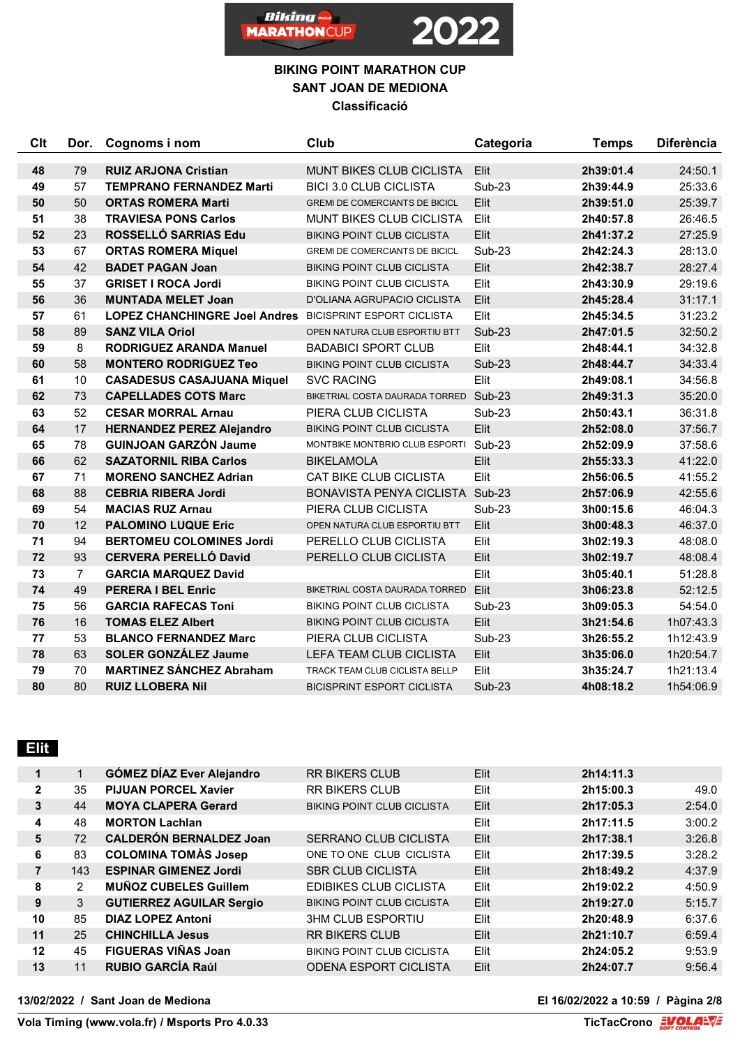

#### **BIKING POINT MARATHON CUP SANT JOAN DE MEDIONA Classificació**

| <b>Clt</b> | Dor.           | Cognoms i nom                        | Club                                  | Categoria     | <b>Temps</b> | <b>Diferència</b> |
|------------|----------------|--------------------------------------|---------------------------------------|---------------|--------------|-------------------|
| 48         | 79             | <b>RUIZ ARJONA Cristian</b>          | <b>MUNT BIKES CLUB CICLISTA</b>       | Elit          | 2h39:01.4    | 24:50.1           |
| 49         | 57             | <b>TEMPRANO FERNANDEZ Marti</b>      | <b>BICI 3.0 CLUB CICLISTA</b>         | <b>Sub-23</b> | 2h39:44.9    | 25:33.6           |
| 50         | 50             | <b>ORTAS ROMERA Marti</b>            | <b>GREMI DE COMERCIANTS DE BICICL</b> | Elit          | 2h39:51.0    | 25:39.7           |
| 51         | 38             | <b>TRAVIESA PONS Carlos</b>          | <b>MUNT BIKES CLUB CICLISTA</b>       | Elit          | 2h40:57.8    | 26:46.5           |
| 52         | 23             | ROSSELLÓ SARRIAS Edu                 | <b>BIKING POINT CLUB CICLISTA</b>     | Elit          | 2h41:37.2    | 27:25.9           |
| 53         | 67             | <b>ORTAS ROMERA Miquel</b>           | <b>GREMI DE COMERCIANTS DE BICICL</b> | <b>Sub-23</b> | 2h42:24.3    | 28:13.0           |
| 54         | 42             | <b>BADET PAGAN Joan</b>              | <b>BIKING POINT CLUB CICLISTA</b>     | Elit          | 2h42:38.7    | 28:27.4           |
| 55         | 37             | <b>GRISET I ROCA Jordi</b>           | <b>BIKING POINT CLUB CICLISTA</b>     | Elit          | 2h43:30.9    | 29:19.6           |
| 56         | 36             | <b>MUNTADA MELET Joan</b>            | D'OLIANA AGRUPACIO CICLISTA           | Elit          | 2h45:28.4    | 31:17.1           |
| 57         | 61             | <b>LOPEZ CHANCHINGRE Joel Andres</b> | <b>BICISPRINT ESPORT CICLISTA</b>     | Elit          | 2h45:34.5    | 31:23.2           |
| 58         | 89             | <b>SANZ VILA Oriol</b>               | OPEN NATURA CLUB ESPORTIU BTT         | Sub-23        | 2h47:01.5    | 32:50.2           |
| 59         | 8              | <b>RODRIGUEZ ARANDA Manuel</b>       | <b>BADABICI SPORT CLUB</b>            | Elit          | 2h48:44.1    | 34:32.8           |
| 60         | 58             | <b>MONTERO RODRIGUEZ Teo</b>         | <b>BIKING POINT CLUB CICLISTA</b>     | <b>Sub-23</b> | 2h48:44.7    | 34:33.4           |
| 61         | 10             | <b>CASADESUS CASAJUANA Miquel</b>    | <b>SVC RACING</b>                     | Elit          | 2h49:08.1    | 34:56.8           |
| 62         | 73             | <b>CAPELLADES COTS Marc</b>          | BIKETRIAL COSTA DAURADA TORRED Sub-23 |               | 2h49:31.3    | 35:20.0           |
| 63         | 52             | <b>CESAR MORRAL Arnau</b>            | PIERA CLUB CICLISTA                   | <b>Sub-23</b> | 2h50:43.1    | 36:31.8           |
| 64         | 17             | <b>HERNANDEZ PEREZ Alejandro</b>     | <b>BIKING POINT CLUB CICLISTA</b>     | Elit          | 2h52:08.0    | 37:56.7           |
| 65         | 78             | <b>GUINJOAN GARZÓN Jaume</b>         | MONTBIKE MONTBRIO CLUB ESPORTI        | Sub-23        | 2h52:09.9    | 37:58.6           |
| 66         | 62             | <b>SAZATORNIL RIBA Carlos</b>        | <b>BIKELAMOLA</b>                     | Elit          | 2h55:33.3    | 41:22.0           |
| 67         | 71             | <b>MORENO SANCHEZ Adrian</b>         | CAT BIKE CLUB CICLISTA                | Elit          | 2h56:06.5    | 41:55.2           |
| 68         | 88             | <b>CEBRIA RIBERA Jordi</b>           | BONAVISTA PENYA CICLISTA Sub-23       |               | 2h57:06.9    | 42:55.6           |
| 69         | 54             | <b>MACIAS RUZ Arnau</b>              | PIERA CLUB CICLISTA                   | <b>Sub-23</b> | 3h00:15.6    | 46:04.3           |
| 70         | 12             | <b>PALOMINO LUQUE Eric</b>           | OPEN NATURA CLUB ESPORTIU BTT         | Elit          | 3h00:48.3    | 46:37.0           |
| 71         | 94             | <b>BERTOMEU COLOMINES Jordi</b>      | PERELLO CLUB CICLISTA                 | Elit          | 3h02:19.3    | 48:08.0           |
| 72         | 93             | <b>CERVERA PERELLÓ David</b>         | PERELLO CLUB CICLISTA                 | Elit          | 3h02:19.7    | 48:08.4           |
| 73         | $\overline{7}$ | <b>GARCIA MARQUEZ David</b>          |                                       | Elit          | 3h05:40.1    | 51:28.8           |
| 74         | 49             | <b>PERERA I BEL Enric</b>            | BIKETRIAL COSTA DAURADA TORRED        | Elit          | 3h06:23.8    | 52:12.5           |
| 75         | 56             | <b>GARCIA RAFECAS Toni</b>           | <b>BIKING POINT CLUB CICLISTA</b>     | <b>Sub-23</b> | 3h09:05.3    | 54:54.0           |
| 76         | 16             | <b>TOMAS ELEZ Albert</b>             | <b>BIKING POINT CLUB CICLISTA</b>     | Elit          | 3h21:54.6    | 1h07:43.3         |
| 77         | 53             | <b>BLANCO FERNANDEZ Marc</b>         | PIERA CLUB CICLISTA                   | <b>Sub-23</b> | 3h26:55.2    | 1h12:43.9         |
| 78         | 63             | <b>SOLER GONZÁLEZ Jaume</b>          | LEFA TEAM CLUB CICLISTA               | Elit          | 3h35:06.0    | 1h20:54.7         |
| 79         | 70             | <b>MARTINEZ SÁNCHEZ Abraham</b>      | TRACK TEAM CLUB CICLISTA BELLP        | Elit          | 3h35:24.7    | 1h21:13.4         |
| 80         | 80             | <b>RUIZ LLOBERA Nil</b>              | <b>BICISPRINT ESPORT CICLISTA</b>     | <b>Sub-23</b> | 4h08:18.2    | 1h54:06.9         |

# **Elit**

| $\mathbf 1$  |     | <b>GÓMEZ DÍAZ Ever Alejandro</b> | <b>RR BIKERS CLUB</b>             | Elit | 2h14:11.3 |        |
|--------------|-----|----------------------------------|-----------------------------------|------|-----------|--------|
| $\mathbf{2}$ | 35  | <b>PIJUAN PORCEL Xavier</b>      | <b>RR BIKERS CLUB</b>             | Elit | 2h15:00.3 | 49.0   |
| 3            | 44  | <b>MOYA CLAPERA Gerard</b>       | <b>BIKING POINT CLUB CICLISTA</b> | Elit | 2h17:05.3 | 2:54.0 |
| 4            | 48  | <b>MORTON Lachlan</b>            |                                   | Elit | 2h17:11.5 | 3:00.2 |
| 5            | 72  | <b>CALDERÓN BERNALDEZ Joan</b>   | <b>SERRANO CLUB CICLISTA</b>      | Elit | 2h17:38.1 | 3:26.8 |
| 6            | 83  | <b>COLOMINA TOMAS Josep</b>      | ONE TO ONE CLUB CICLISTA          | Elit | 2h17:39.5 | 3:28.2 |
| 7            | 143 | <b>ESPINAR GIMENEZ Jordi</b>     | <b>SBR CLUB CICLISTA</b>          | Elit | 2h18:49.2 | 4:37.9 |
| 8            | 2   | <b>MUÑOZ CUBELES Guillem</b>     | <b>EDIBIKES CLUB CICLISTA</b>     | Elit | 2h19:02.2 | 4:50.9 |
| 9            | 3   | <b>GUTIERREZ AGUILAR Sergio</b>  | <b>BIKING POINT CLUB CICLISTA</b> | Elit | 2h19:27.0 | 5:15.7 |
| 10           | 85  | <b>DIAZ LOPEZ Antoni</b>         | <b>3HM CLUB ESPORTIU</b>          | Elit | 2h20:48.9 | 6:37.6 |
| 11           | 25  | <b>CHINCHILLA Jesus</b>          | <b>RR BIKERS CLUB</b>             | Elit | 2h21:10.7 | 6:59.4 |
| 12           | 45  | <b>FIGUERAS VIÑAS Joan</b>       | <b>BIKING POINT CLUB CICLISTA</b> | Elit | 2h24:05.2 | 9:53.9 |
| 13           | 11  | <b>RUBIO GARCÍA Raúl</b>         | <b>ODENA ESPORT CICLISTA</b>      | Elit | 2h24:07.7 | 9:56.4 |
|              |     |                                  |                                   |      |           |        |

**13/02/2022 / Sant Joan de Mediona El 16/02/2022 a 10:59 / Pàgina 2/8**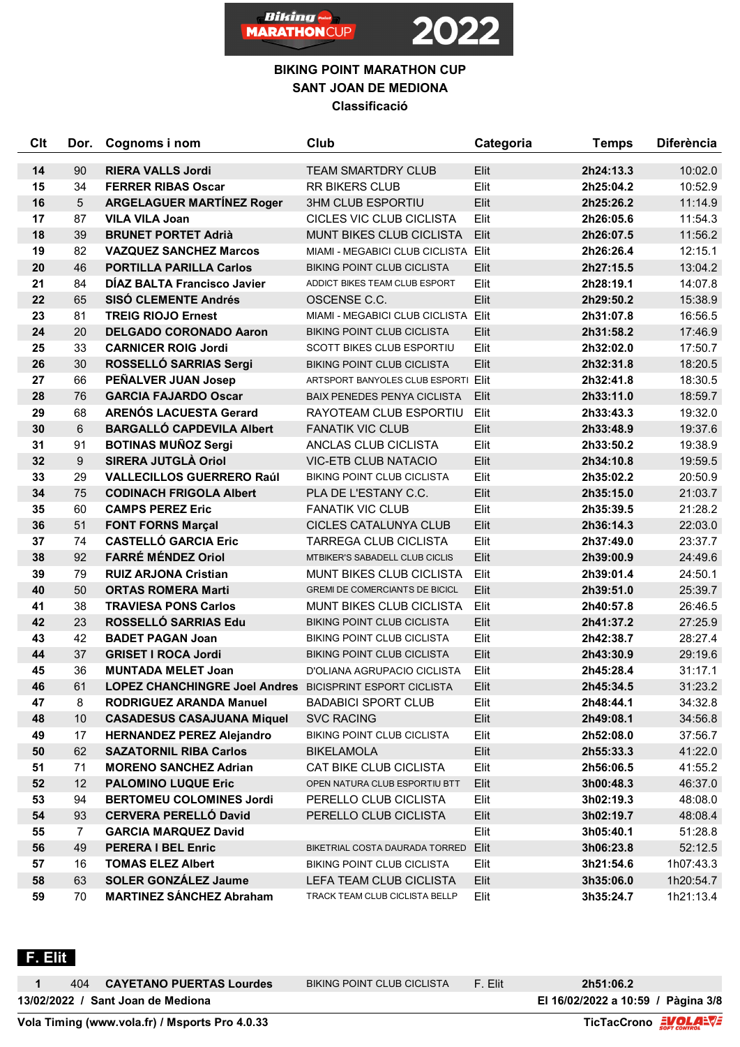



| Clt        | Dor.           | Cognoms i nom                                            | Club                                                                   | Categoria    | <b>Temps</b>           | <b>Diferència</b>  |
|------------|----------------|----------------------------------------------------------|------------------------------------------------------------------------|--------------|------------------------|--------------------|
| 14         | 90             | <b>RIERA VALLS Jordi</b>                                 | <b>TEAM SMARTDRY CLUB</b>                                              | Elit         | 2h24:13.3              | 10:02.0            |
| 15         | 34             | <b>FERRER RIBAS Oscar</b>                                | <b>RR BIKERS CLUB</b>                                                  | Elit         | 2h25:04.2              | 10:52.9            |
| 16         | 5              | <b>ARGELAGUER MARTINEZ Roger</b>                         | <b>3HM CLUB ESPORTIU</b>                                               | Elit         | 2h25:26.2              | 11:14.9            |
| 17         | 87             | <b>VILA VILA Joan</b>                                    | CICLES VIC CLUB CICLISTA                                               | Elit         | 2h26:05.6              | 11:54.3            |
| 18         | 39             | <b>BRUNET PORTET Adrià</b>                               | MUNT BIKES CLUB CICLISTA                                               | Elit         | 2h26:07.5              | 11:56.2            |
| 19         | 82             | <b>VAZQUEZ SANCHEZ Marcos</b>                            | MIAMI - MEGABICI CLUB CICLISTA Elit                                    |              | 2h26:26.4              | 12:15.1            |
| 20         | 46             | <b>PORTILLA PARILLA Carlos</b>                           | <b>BIKING POINT CLUB CICLISTA</b>                                      | Elit         | 2h27:15.5              | 13:04.2            |
| 21         | 84             | <b>DIAZ BALTA Francisco Javier</b>                       | ADDICT BIKES TEAM CLUB ESPORT                                          | Elit         | 2h28:19.1              | 14:07.8            |
| 22         | 65             | <b>SISÓ CLEMENTE Andrés</b>                              | OSCENSE C.C.                                                           | Elit         | 2h29:50.2              | 15:38.9            |
| 23         | 81             | <b>TREIG RIOJO Ernest</b>                                | MIAMI - MEGABICI CLUB CICLISTA Elit                                    |              | 2h31:07.8              | 16:56.5            |
| 24         | 20             | <b>DELGADO CORONADO Aaron</b>                            | BIKING POINT CLUB CICLISTA                                             | Elit         | 2h31:58.2              | 17:46.9            |
| 25         | 33             | <b>CARNICER ROIG Jordi</b>                               | SCOTT BIKES CLUB ESPORTIU                                              | Elit         | 2h32:02.0              | 17:50.7            |
| 26         | 30             | ROSSELLÓ SARRIAS Sergi                                   | <b>BIKING POINT CLUB CICLISTA</b>                                      | Elit         | 2h32:31.8              | 18:20.5            |
| 27         | 66             | PEÑALVER JUAN Josep                                      | ARTSPORT BANYOLES CLUB ESPORTI Elit                                    |              | 2h32:41.8              | 18:30.5            |
| 28         | 76             | <b>GARCIA FAJARDO Oscar</b>                              | BAIX PENEDES PENYA CICLISTA                                            | Elit         | 2h33:11.0              | 18:59.7            |
| 29         | 68             | <b>ARENÓS LACUESTA Gerard</b>                            | RAYOTEAM CLUB ESPORTIU                                                 | Elit         | 2h33:43.3              | 19:32.0            |
| 30         | 6              | <b>BARGALLÓ CAPDEVILA Albert</b>                         | <b>FANATIK VIC CLUB</b>                                                | Elit         | 2h33:48.9              | 19:37.6            |
| 31         | 91             | <b>BOTINAS MUÑOZ Sergi</b>                               | ANCLAS CLUB CICLISTA                                                   | Elit         | 2h33:50.2              | 19:38.9            |
| 32         | 9              | <b>SIRERA JUTGLÀ Oriol</b>                               | <b>VIC-ETB CLUB NATACIO</b>                                            | Elit         | 2h34:10.8              | 19:59.5            |
| 33         | 29             | <b>VALLECILLOS GUERRERO Raúl</b>                         | BIKING POINT CLUB CICLISTA                                             | Elit         | 2h35:02.2              | 20:50.9            |
| 34         | 75             | <b>CODINACH FRIGOLA Albert</b>                           | PLA DE L'ESTANY C.C.                                                   | Elit         | 2h35:15.0              | 21:03.7            |
| 35         | 60             | <b>CAMPS PEREZ Eric</b>                                  | <b>FANATIK VIC CLUB</b>                                                | Elit         | 2h35:39.5              | 21:28.2            |
| 36         | 51             | <b>FONT FORNS Marçal</b>                                 | CICLES CATALUNYA CLUB                                                  | Elit         | 2h36:14.3              | 22:03.0            |
| 37         | 74             | <b>CASTELLÓ GARCIA Eric</b>                              | TARREGA CLUB CICLISTA                                                  | Elit         | 2h37:49.0              | 23:37.7            |
| 38         | 92             | <b>FARRÉ MÉNDEZ Oriol</b>                                | MTBIKER'S SABADELL CLUB CICLIS                                         | Elit         | 2h39:00.9              | 24:49.6            |
| 39         | 79             | <b>RUIZ ARJONA Cristian</b>                              | MUNT BIKES CLUB CICLISTA                                               | Elit         | 2h39:01.4              | 24:50.1            |
| 40         | 50             | <b>ORTAS ROMERA Marti</b>                                | GREMI DE COMERCIANTS DE BICICL                                         | Elit         | 2h39:51.0              | 25:39.7            |
| 41         | 38             | <b>TRAVIESA PONS Carlos</b>                              | <b>MUNT BIKES CLUB CICLISTA</b>                                        | Elit         | 2h40:57.8              | 26:46.5            |
| 42         | 23             | ROSSELLÓ SARRIAS Edu                                     | <b>BIKING POINT CLUB CICLISTA</b>                                      | Elit         | 2h41:37.2              | 27:25.9            |
| 43<br>44   | 42<br>37       | <b>BADET PAGAN Joan</b>                                  | <b>BIKING POINT CLUB CICLISTA</b><br><b>BIKING POINT CLUB CICLISTA</b> | Elit<br>Elit | 2h42:38.7              | 28:27.4            |
| 45         | 36             | <b>GRISET I ROCA Jordi</b><br><b>MUNTADA MELET Joan</b>  | D'OLIANA AGRUPACIO CICLISTA                                            | Elit         | 2h43:30.9<br>2h45:28.4 | 29:19.6<br>31:17.1 |
| 46         | 61             | LOPEZ CHANCHINGRE Joel Andres BICISPRINT ESPORT CICLISTA |                                                                        | Elit         | 2h45:34.5              | 31:23.2            |
| 47         | 8              | <b>RODRIGUEZ ARANDA Manuel</b>                           | <b>BADABICI SPORT CLUB</b>                                             | Elit         | 2h48:44.1              | 34:32.8            |
| 48         | 10             | <b>CASADESUS CASAJUANA Miquel</b>                        | <b>SVC RACING</b>                                                      | Elit         | 2h49:08.1              | 34:56.8            |
| 49         | 17             | <b>HERNANDEZ PEREZ Alejandro</b>                         | BIKING POINT CLUB CICLISTA                                             | Elit         | 2h52:08.0              | 37:56.7            |
| ${\bf 50}$ | 62             | <b>SAZATORNIL RIBA Carlos</b>                            | <b>BIKELAMOLA</b>                                                      | Elit         | 2h55:33.3              | 41:22.0            |
| 51         | 71             | <b>MORENO SANCHEZ Adrian</b>                             | CAT BIKE CLUB CICLISTA                                                 | Elit         | 2h56:06.5              | 41:55.2            |
| 52         | 12             | <b>PALOMINO LUQUE Eric</b>                               | OPEN NATURA CLUB ESPORTIU BTT                                          | Elit         | 3h00:48.3              | 46:37.0            |
| 53         | 94             | <b>BERTOMEU COLOMINES Jordi</b>                          | PERELLO CLUB CICLISTA                                                  | Elit         | 3h02:19.3              | 48:08.0            |
| 54         | 93             | <b>CERVERA PERELLÓ David</b>                             | PERELLO CLUB CICLISTA                                                  | Elit         | 3h02:19.7              | 48:08.4            |
| 55         | $\overline{7}$ | <b>GARCIA MARQUEZ David</b>                              |                                                                        | Elit         | 3h05:40.1              | 51:28.8            |
| 56         | 49             | <b>PERERA I BEL Enric</b>                                | BIKETRIAL COSTA DAURADA TORRED                                         | Elit         | 3h06:23.8              | 52:12.5            |
| 57         | 16             | <b>TOMAS ELEZ Albert</b>                                 | <b>BIKING POINT CLUB CICLISTA</b>                                      | Elit         | 3h21:54.6              | 1h07:43.3          |
| 58         | 63             | <b>SOLER GONZÁLEZ Jaume</b>                              | LEFA TEAM CLUB CICLISTA                                                | Elit         | 3h35:06.0              | 1h20:54.7          |
| 59         | 70             | <b>MARTINEZ SÁNCHEZ Abraham</b>                          | TRACK TEAM CLUB CICLISTA BELLP                                         | Elit         | 3h35:24.7              | 1h21:13.4          |
|            |                |                                                          |                                                                        |              |                        |                    |

 **F. Elit** 

**13/02/2022 / Sant Joan de Mediona El 16/02/2022 a 10:59 / Pàgina 3/8** 404 **CAYETANO PUERTAS Lourdes** BIKING POINT CLUB CICLISTA F. Elit **2h51:06.2**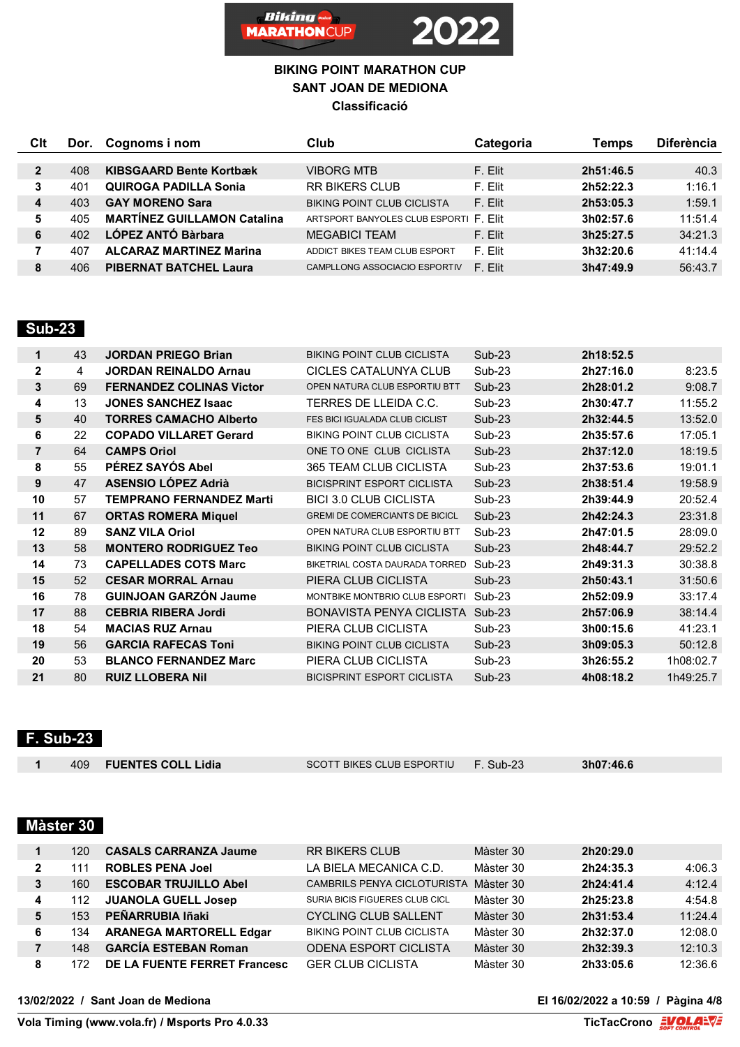

| Clt          | Dor. | Cognoms i nom                      | Club                                  | Categoria | Temps     | <b>Diferència</b> |
|--------------|------|------------------------------------|---------------------------------------|-----------|-----------|-------------------|
|              |      |                                    |                                       |           |           |                   |
| $\mathbf{2}$ | 408  | <b>KIBSGAARD Bente Kortbæk</b>     | <b>VIBORG MTB</b>                     | F. Elit   | 2h51:46.5 | 40.3              |
| 3            | 401  | <b>QUIROGA PADILLA Sonia</b>       | <b>RR BIKERS CLUB</b>                 | F. Elit   | 2h52:22.3 | 1:16.1            |
| 4            | 403  | <b>GAY MORENO Sara</b>             | <b>BIKING POINT CLUB CICLISTA</b>     | F. Elit   | 2h53:05.3 | 1:59.1            |
| 5            | 405  | <b>MARTÍNEZ GUILLAMON Catalina</b> | ARTSPORT BANYOLES CLUB ESPORTIF. Flit |           | 3h02:57.6 | 11:51.4           |
| 6            | 402  | LÓPEZ ANTÓ Bàrbara                 | <b>MEGABICI TEAM</b>                  | F. Flit   | 3h25:27.5 | 34:21.3           |
|              | 407  | <b>ALCARAZ MARTINEZ Marina</b>     | ADDICT BIKES TEAM CLUB ESPORT         | F. Flit   | 3h32:20.6 | 41:14.4           |
| 8            | 406  | <b>PIBERNAT BATCHEL Laura</b>      | CAMPLLONG ASSOCIACIO ESPORTIV         | F. Flit   | 3h47:49.9 | 56:43.7           |

### **Sub-23**

| 1              | 43 | <b>JORDAN PRIEGO Brian</b>      | <b>BIKING POINT CLUB CICLISTA</b>     | $Sub-23$ | 2h18:52.5 |           |
|----------------|----|---------------------------------|---------------------------------------|----------|-----------|-----------|
| $\mathbf{2}$   | 4  | <b>JORDAN REINALDO Arnau</b>    | CICLES CATALUNYA CLUB                 | $Sub-23$ | 2h27:16.0 | 8:23.5    |
| 3              | 69 | <b>FERNANDEZ COLINAS Victor</b> | OPEN NATURA CLUB ESPORTIU BTT         | $Sub-23$ | 2h28:01.2 | 9:08.7    |
| 4              | 13 | <b>JONES SANCHEZ Isaac</b>      | TERRES DE LLEIDA C.C.                 | $Sub-23$ | 2h30:47.7 | 11:55.2   |
| 5              | 40 | <b>TORRES CAMACHO Alberto</b>   | FES BICI IGUALADA CLUB CICLIST        | $Sub-23$ | 2h32:44.5 | 13:52.0   |
| 6              | 22 | <b>COPADO VILLARET Gerard</b>   | <b>BIKING POINT CLUB CICLISTA</b>     | Sub-23   | 2h35:57.6 | 17:05.1   |
| $\overline{7}$ | 64 | <b>CAMPS Oriol</b>              | ONE TO ONE CLUB CICLISTA              | $Sub-23$ | 2h37:12.0 | 18:19.5   |
| 8              | 55 | PÉREZ SAYÓS Abel                | 365 TEAM CLUB CICLISTA                | $Sub-23$ | 2h37:53.6 | 19:01.1   |
| 9              | 47 | <b>ASENSIO LÓPEZ Adrià</b>      | <b>BICISPRINT ESPORT CICLISTA</b>     | $Sub-23$ | 2h38:51.4 | 19:58.9   |
| 10             | 57 | <b>TEMPRANO FERNANDEZ Marti</b> | <b>BICI 3.0 CLUB CICLISTA</b>         | Sub-23   | 2h39:44.9 | 20:52.4   |
| 11             | 67 | <b>ORTAS ROMERA Miquel</b>      | <b>GREMI DE COMERCIANTS DE BICICL</b> | $Sub-23$ | 2h42:24.3 | 23:31.8   |
| 12             | 89 | <b>SANZ VILA Oriol</b>          | OPEN NATURA CLUB ESPORTIU BTT         | $Sub-23$ | 2h47:01.5 | 28:09.0   |
| 13             | 58 | <b>MONTERO RODRIGUEZ Teo</b>    | <b>BIKING POINT CLUB CICLISTA</b>     | $Sub-23$ | 2h48:44.7 | 29:52.2   |
| 14             | 73 | <b>CAPELLADES COTS Marc</b>     | BIKETRIAL COSTA DAURADA TORRED        | $Sub-23$ | 2h49:31.3 | 30:38.8   |
| 15             | 52 | <b>CESAR MORRAL Arnau</b>       | PIERA CLUB CICLISTA                   | $Sub-23$ | 2h50:43.1 | 31:50.6   |
| 16             | 78 | <b>GUINJOAN GARZÓN Jaume</b>    | MONTBIKE MONTBRIO CLUB ESPORTI        | $Sub-23$ | 2h52:09.9 | 33:17.4   |
| 17             | 88 | <b>CEBRIA RIBERA Jordi</b>      | BONAVISTA PENYA CICLISTA              | $Sub-23$ | 2h57:06.9 | 38:14.4   |
| 18             | 54 | <b>MACIAS RUZ Arnau</b>         | PIERA CLUB CICLISTA                   | $Sub-23$ | 3h00:15.6 | 41:23.1   |
| 19             | 56 | <b>GARCIA RAFECAS Toni</b>      | <b>BIKING POINT CLUB CICLISTA</b>     | $Sub-23$ | 3h09:05.3 | 50:12.8   |
| 20             | 53 | <b>BLANCO FERNANDEZ Marc</b>    | PIERA CLUB CICLISTA                   | Sub-23   | 3h26:55.2 | 1h08:02.7 |
| 21             | 80 | <b>RUIZ LLOBERA Nil</b>         | <b>BICISPRINT ESPORT CICLISTA</b>     | $Sub-23$ | 4h08:18.2 | 1h49:25.7 |

### **F. Sub-23**

| 409 FUENTES COLL Lidia<br>$F.$ Sub-23<br>3h07:46.6<br>SCOTT BIKES CLUB ESPORTIU |  |
|---------------------------------------------------------------------------------|--|
|                                                                                 |  |

# **Màster 30**

|   | 120  | <b>CASALS CARRANZA Jaume</b>   | <b>RR BIKERS CLUB</b>                 | Màster 30 | 2h20:29.0 |         |
|---|------|--------------------------------|---------------------------------------|-----------|-----------|---------|
|   | l 11 | <b>ROBLES PENA Joel</b>        | LA BIELA MECANICA C.D.                | Màster 30 | 2h24:35.3 | 4:06.3  |
| 3 | 160  | <b>ESCOBAR TRUJILLO Abel</b>   | CAMBRILS PENYA CICLOTURISTA Màster 30 |           | 2h24:41.4 | 4:12.4  |
|   | 112  | <b>JUANOLA GUELL Josep</b>     | SURIA BICIS FIGUERES CLUB CICL        | Màster 30 | 2h25:23.8 | 4:54.8  |
|   | 153  | PEÑARRUBIA Iñaki               | <b>CYCLING CLUB SALLENT</b>           | Màster 30 | 2h31:53.4 | 11:24.4 |
| 6 | 134  | <b>ARANEGA MARTORELL Edgar</b> | <b>BIKING POINT CLUB CICLISTA</b>     | Màster 30 | 2h32:37.0 | 12:08.0 |
|   | 148  | <b>GARCÍA ESTEBAN Roman</b>    | <b>ODENA ESPORT CICLISTA</b>          | Màster 30 | 2h32:39.3 | 12:10.3 |
| 8 | 172  | DE LA FUENTE FERRET Francesc   | <b>GER CLUB CICLISTA</b>              | Màster 30 | 2h33:05.6 | 12:36.6 |

**13/02/2022 / Sant Joan de Mediona El 16/02/2022 a 10:59 / Pàgina 4/8**

**Vola Timing (www.vola.fr) / Msports Pro 4.0.33**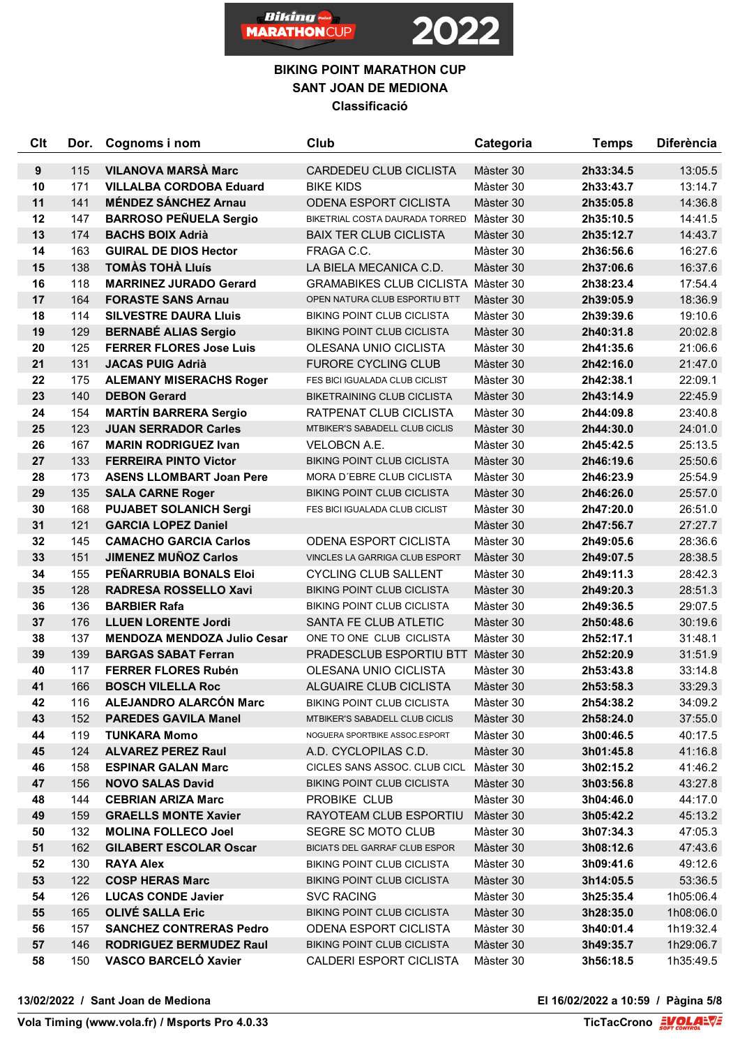



| Clt              | Dor.       | Cognoms i nom                                          | Club                                                 | Categoria              | <b>Temps</b>           | <b>Diferència</b>  |
|------------------|------------|--------------------------------------------------------|------------------------------------------------------|------------------------|------------------------|--------------------|
| $\boldsymbol{9}$ | 115        | <b>VILANOVA MARSÀ Marc</b>                             | <b>CARDEDEU CLUB CICLISTA</b>                        | Màster 30              | 2h33:34.5              | 13:05.5            |
| 10               | 171        | <b>VILLALBA CORDOBA Eduard</b>                         | <b>BIKE KIDS</b>                                     | Màster 30              | 2h33:43.7              | 13:14.7            |
| 11               | 141        | <b>MÉNDEZ SÁNCHEZ Arnau</b>                            | <b>ODENA ESPORT CICLISTA</b>                         | Màster 30              | 2h35:05.8              | 14:36.8            |
| 12               | 147        | <b>BARROSO PEÑUELA Sergio</b>                          | BIKETRIAL COSTA DAURADA TORRED Màster 30             |                        | 2h35:10.5              | 14:41.5            |
| 13               | 174        | <b>BACHS BOIX Adrià</b>                                | <b>BAIX TER CLUB CICLISTA</b>                        | Màster 30              | 2h35:12.7              | 14:43.7            |
| 14               | 163        | <b>GUIRAL DE DIOS Hector</b>                           | FRAGA C.C.                                           | Màster 30              | 2h36:56.6              | 16:27.6            |
| 15               | 138        | <b>TOMAS TOHA LIUIS</b>                                | LA BIELA MECANICA C.D.                               | Màster 30              | 2h37:06.6              | 16:37.6            |
| 16               | 118        | <b>MARRINEZ JURADO Gerard</b>                          | <b>GRAMABIKES CLUB CICLISTA Màster 30</b>            |                        | 2h38:23.4              | 17:54.4            |
| 17               | 164        | <b>FORASTE SANS Arnau</b>                              | OPEN NATURA CLUB ESPORTIU BTT                        | Màster 30              | 2h39:05.9              | 18:36.9            |
| 18               | 114        | <b>SILVESTRE DAURA LIUIS</b>                           | <b>BIKING POINT CLUB CICLISTA</b>                    | Màster 30              | 2h39:39.6              | 19:10.6            |
| 19               | 129        | <b>BERNABÉ ALIAS Sergio</b>                            | <b>BIKING POINT CLUB CICLISTA</b>                    | Màster 30              | 2h40:31.8              | 20:02.8            |
| 20               | 125        | <b>FERRER FLORES Jose Luis</b>                         | OLESANA UNIO CICLISTA                                | Màster 30              | 2h41:35.6              | 21:06.6            |
| 21               | 131        | <b>JACAS PUIG Adrià</b>                                | <b>FURORE CYCLING CLUB</b>                           | Màster 30              | 2h42:16.0              | 21:47.0            |
| 22               | 175        | <b>ALEMANY MISERACHS Roger</b>                         | FES BICI IGUALADA CLUB CICLIST                       | Màster 30              | 2h42:38.1              | 22:09.1            |
| 23               | 140        | <b>DEBON Gerard</b>                                    | <b>BIKETRAINING CLUB CICLISTA</b>                    | Màster 30              | 2h43:14.9              | 22:45.9            |
| 24               | 154        | <b>MARTÍN BARRERA Sergio</b>                           | <b>RATPENAT CLUB CICLISTA</b>                        | Màster 30              | 2h44:09.8              | 23:40.8            |
| 25               | 123        | <b>JUAN SERRADOR Carles</b>                            | MTBIKER'S SABADELL CLUB CICLIS                       | Màster 30              | 2h44:30.0              | 24:01.0            |
| 26               | 167        | <b>MARIN RODRIGUEZ Ivan</b>                            | <b>VELOBCN A.E.</b>                                  | Màster 30              | 2h45:42.5              | 25:13.5            |
| 27               | 133        | <b>FERREIRA PINTO Victor</b>                           | <b>BIKING POINT CLUB CICLISTA</b>                    | Màster 30              | 2h46:19.6              | 25:50.6            |
| 28               | 173        | <b>ASENS LLOMBART Joan Pere</b>                        | MORA D'EBRE CLUB CICLISTA                            | Màster 30              | 2h46:23.9              | 25:54.9            |
| 29               | 135        | <b>SALA CARNE Roger</b>                                | <b>BIKING POINT CLUB CICLISTA</b>                    | Màster 30              | 2h46:26.0              | 25:57.0            |
| 30               | 168        | <b>PUJABET SOLANICH Sergi</b>                          | FES BICI IGUALADA CLUB CICLIST                       | Màster 30              | 2h47:20.0              | 26:51.0            |
| 31               | 121        | <b>GARCIA LOPEZ Daniel</b>                             |                                                      | Màster 30              | 2h47:56.7              | 27:27.7            |
| 32               | 145        | <b>CAMACHO GARCIA Carlos</b>                           | <b>ODENA ESPORT CICLISTA</b>                         | Màster 30              | 2h49:05.6              | 28:36.6            |
| 33               | 151        | <b>JIMENEZ MUÑOZ Carlos</b>                            | VINCLES LA GARRIGA CLUB ESPORT                       | Màster 30              | 2h49:07.5              | 28:38.5            |
| 34               | 155        | PEÑARRUBIA BONALS Eloi                                 | <b>CYCLING CLUB SALLENT</b>                          | Màster 30              | 2h49:11.3              | 28:42.3            |
| 35               | 128        | RADRESA ROSSELLO Xavi                                  | <b>BIKING POINT CLUB CICLISTA</b>                    | Màster 30              | 2h49:20.3              | 28:51.3            |
| 36               | 136        | <b>BARBIER Rafa</b>                                    | <b>BIKING POINT CLUB CICLISTA</b>                    | Màster 30              | 2h49:36.5              | 29:07.5            |
| 37               | 176        | <b>LLUEN LORENTE Jordi</b>                             | SANTA FE CLUB ATLETIC                                | Màster 30              | 2h50:48.6              | 30:19.6            |
| 38               | 137        | <b>MENDOZA MENDOZA Julio Cesar</b>                     | ONE TO ONE CLUB CICLISTA                             | Màster 30              | 2h52:17.1              | 31:48.1            |
| 39               | 139        | <b>BARGAS SABAT Ferran</b>                             | PRADESCLUB ESPORTIU BTT Màster 30                    |                        | 2h52:20.9              | 31:51.9            |
| 40               | 117        | <b>FERRER FLORES Rubén</b>                             | OLESANA UNIO CICLISTA                                | Màster 30              | 2h53:43.8              | 33:14.8            |
| 41               | 166        | <b>BOSCH VILELLA Roc</b>                               | <b>ALGUAIRE CLUB CICLISTA</b>                        | Màster 30              | 2h53:58.3              | 33:29.3            |
| 42               | 116        | ALEJANDRO ALARCÓN Marc                                 | <b>BIKING POINT CLUB CICLISTA</b>                    | Màster 30              | 2h54:38.2              | 34:09.2            |
| 43               | 152        | <b>PAREDES GAVILA Manel</b>                            | MTBIKER'S SABADELL CLUB CICLIS                       | Màster 30              | 2h58:24.0              | 37:55.0            |
| 44<br>45         | 119<br>124 | <b>TUNKARA Momo</b>                                    | NOGUERA SPORTBIKE ASSOC.ESPORT                       | Màster 30              | 3h00:46.5<br>3h01:45.8 | 40:17.5            |
| 46               | 158        | <b>ALVAREZ PEREZ Raul</b><br><b>ESPINAR GALAN Marc</b> | A.D. CYCLOPILAS C.D.<br>CICLES SANS ASSOC. CLUB CICL | Màster 30<br>Màster 30 |                        | 41:16.8<br>41:46.2 |
| 47               | 156        | <b>NOVO SALAS David</b>                                | <b>BIKING POINT CLUB CICLISTA</b>                    | Màster 30              | 3h02:15.2<br>3h03:56.8 | 43:27.8            |
| 48               | 144        | <b>CEBRIAN ARIZA Marc</b>                              | PROBIKE CLUB                                         | Màster 30              | 3h04:46.0              | 44:17.0            |
| 49               | 159        | <b>GRAELLS MONTE Xavier</b>                            | RAYOTEAM CLUB ESPORTIU                               | Màster 30              | 3h05:42.2              | 45:13.2            |
| 50               | 132        | <b>MOLINA FOLLECO Joel</b>                             | SEGRE SC MOTO CLUB                                   | Màster 30              | 3h07:34.3              | 47:05.3            |
| 51               | 162        | <b>GILABERT ESCOLAR Oscar</b>                          | BICIATS DEL GARRAF CLUB ESPOR                        | Màster 30              | 3h08:12.6              | 47:43.6            |
| 52               | 130        | <b>RAYA Alex</b>                                       | BIKING POINT CLUB CICLISTA                           | Màster 30              | 3h09:41.6              | 49:12.6            |
| 53               | 122        | <b>COSP HERAS Marc</b>                                 | <b>BIKING POINT CLUB CICLISTA</b>                    | Màster 30              | 3h14:05.5              | 53:36.5            |
| 54               | 126        | <b>LUCAS CONDE Javier</b>                              | <b>SVC RACING</b>                                    | Màster 30              | 3h25:35.4              | 1h05:06.4          |
| 55               | 165        | <b>OLIVÉ SALLA Eric</b>                                | BIKING POINT CLUB CICLISTA                           | Màster 30              | 3h28:35.0              | 1h08:06.0          |
| 56               | 157        | <b>SANCHEZ CONTRERAS Pedro</b>                         | <b>ODENA ESPORT CICLISTA</b>                         | Màster 30              | 3h40:01.4              | 1h19:32.4          |
| 57               | 146        | <b>RODRIGUEZ BERMUDEZ Raul</b>                         | <b>BIKING POINT CLUB CICLISTA</b>                    | Màster 30              | 3h49:35.7              | 1h29:06.7          |
| 58               | 150        | <b>VASCO BARCELÓ Xavier</b>                            | CALDERI ESPORT CICLISTA                              | Màster 30              | 3h56:18.5              | 1h35:49.5          |
|                  |            |                                                        |                                                      |                        |                        |                    |

**13/02/2022 / Sant Joan de Mediona El 16/02/2022 a 10:59 / Pàgina 5/8**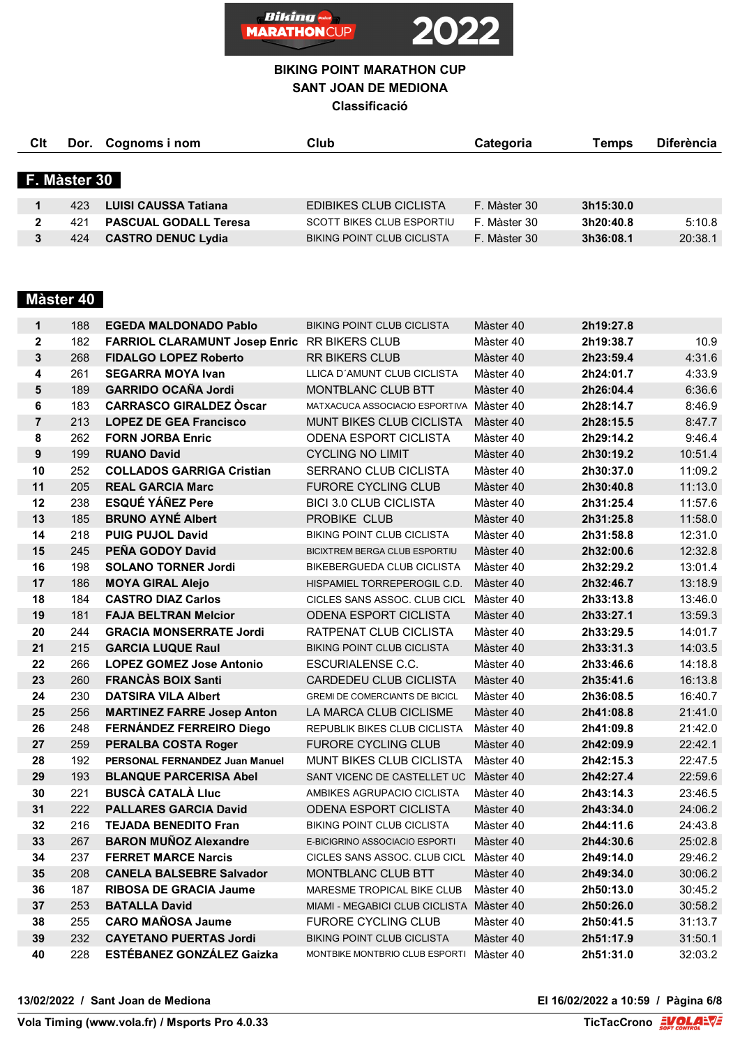

| Clt |              | Dor. Cognoms i nom           | Club                              | Categoria    | Temps     | <b>Diferència</b> |
|-----|--------------|------------------------------|-----------------------------------|--------------|-----------|-------------------|
|     | F. Màster 30 |                              |                                   |              |           |                   |
|     |              |                              |                                   |              |           |                   |
|     | 423.         | <b>LUISI CAUSSA Tatiana</b>  | <b>EDIBIKES CLUB CICLISTA</b>     | F. Màster 30 | 3h15:30.0 |                   |
| 2   | 421          | <b>PASCUAL GODALL Teresa</b> | <b>SCOTT BIKES CLUB ESPORTIU</b>  | F. Màster 30 | 3h20:40.8 | 5:10.8            |
|     | 424          | <b>CASTRO DENUC Lydia</b>    | <b>BIKING POINT CLUB CICLISTA</b> | F. Màster 30 | 3h36:08.1 | 20:38.1           |

# **Màster 40**

| $\mathbf{1}$   | 188 | <b>EGEDA MALDONADO Pablo</b>                        | <b>BIKING POINT CLUB CICLISTA</b>        | Màster 40 | 2h19:27.8 |         |
|----------------|-----|-----------------------------------------------------|------------------------------------------|-----------|-----------|---------|
| $\mathbf{2}$   | 182 | <b>FARRIOL CLARAMUNT Josep Enric RR BIKERS CLUB</b> |                                          | Màster 40 | 2h19:38.7 | 10.9    |
| $\mathbf{3}$   | 268 | <b>FIDALGO LOPEZ Roberto</b>                        | <b>RR BIKERS CLUB</b>                    | Màster 40 | 2h23:59.4 | 4:31.6  |
| 4              | 261 | <b>SEGARRA MOYA Ivan</b>                            | LLICA D'AMUNT CLUB CICLISTA              | Màster 40 | 2h24:01.7 | 4:33.9  |
| $5\phantom{1}$ | 189 | <b>GARRIDO OCAÑA Jordi</b>                          | MONTBLANC CLUB BTT                       | Màster 40 | 2h26:04.4 | 6:36.6  |
| 6              | 183 | <b>CARRASCO GIRALDEZ Oscar</b>                      | MATXACUCA ASSOCIACIO ESPORTIVA Màster 40 |           | 2h28:14.7 | 8:46.9  |
| $\overline{7}$ | 213 | <b>LOPEZ DE GEA Francisco</b>                       | <b>MUNT BIKES CLUB CICLISTA</b>          | Màster 40 | 2h28:15.5 | 8:47.7  |
| 8              | 262 | <b>FORN JORBA Enric</b>                             | <b>ODENA ESPORT CICLISTA</b>             | Màster 40 | 2h29:14.2 | 9:46.4  |
| 9              | 199 | <b>RUANO David</b>                                  | <b>CYCLING NO LIMIT</b>                  | Màster 40 | 2h30:19.2 | 10:51.4 |
| 10             | 252 | <b>COLLADOS GARRIGA Cristian</b>                    | SERRANO CLUB CICLISTA                    | Màster 40 | 2h30:37.0 | 11:09.2 |
| 11             | 205 | <b>REAL GARCIA Marc</b>                             | <b>FURORE CYCLING CLUB</b>               | Màster 40 | 2h30:40.8 | 11:13.0 |
| 12             | 238 | <b>ESQUE YANEZ Pere</b>                             | <b>BICI 3.0 CLUB CICLISTA</b>            | Màster 40 | 2h31:25.4 | 11:57.6 |
| 13             | 185 | <b>BRUNO AYNE Albert</b>                            | PROBIKE CLUB                             | Màster 40 | 2h31:25.8 | 11:58.0 |
| 14             | 218 | <b>PUIG PUJOL David</b>                             | <b>BIKING POINT CLUB CICLISTA</b>        | Màster 40 | 2h31:58.8 | 12:31.0 |
| 15             | 245 | PEÑA GODOY David                                    | BICIXTREM BERGA CLUB ESPORTIU            | Màster 40 | 2h32:00.6 | 12:32.8 |
| 16             | 198 | <b>SOLANO TORNER Jordi</b>                          | BIKEBERGUEDA CLUB CICLISTA               | Màster 40 | 2h32:29.2 | 13:01.4 |
| 17             | 186 | <b>MOYA GIRAL Alejo</b>                             | HISPAMIEL TORREPEROGIL C.D.              | Màster 40 | 2h32:46.7 | 13:18.9 |
| 18             | 184 | <b>CASTRO DIAZ Carlos</b>                           | CICLES SANS ASSOC. CLUB CICL             | Màster 40 | 2h33:13.8 | 13:46.0 |
| 19             | 181 | <b>FAJA BELTRAN Melcior</b>                         | <b>ODENA ESPORT CICLISTA</b>             | Màster 40 | 2h33:27.1 | 13:59.3 |
| 20             | 244 | <b>GRACIA MONSERRATE Jordi</b>                      | RATPENAT CLUB CICLISTA                   | Màster 40 | 2h33:29.5 | 14:01.7 |
| 21             | 215 | <b>GARCIA LUQUE Raul</b>                            | <b>BIKING POINT CLUB CICLISTA</b>        | Màster 40 | 2h33:31.3 | 14:03.5 |
| 22             | 266 | <b>LOPEZ GOMEZ Jose Antonio</b>                     | <b>ESCURIALENSE C.C.</b>                 | Màster 40 | 2h33:46.6 | 14:18.8 |
| 23             | 260 | <b>FRANCÀS BOIX Santi</b>                           | CARDEDEU CLUB CICLISTA                   | Màster 40 | 2h35:41.6 | 16:13.8 |
| 24             | 230 | <b>DATSIRA VILA Albert</b>                          | <b>GREMI DE COMERCIANTS DE BICICL</b>    | Màster 40 | 2h36:08.5 | 16:40.7 |
| 25             | 256 | <b>MARTINEZ FARRE Josep Anton</b>                   | LA MARCA CLUB CICLISME                   | Màster 40 | 2h41:08.8 | 21:41.0 |
| 26             | 248 | FERNÁNDEZ FERREIRO Diego                            | REPUBLIK BIKES CLUB CICLISTA             | Màster 40 | 2h41:09.8 | 21:42.0 |
| 27             | 259 | <b>PERALBA COSTA Roger</b>                          | <b>FURORE CYCLING CLUB</b>               | Màster 40 | 2h42:09.9 | 22:42.1 |
| 28             | 192 | PERSONAL FERNANDEZ Juan Manuel                      | <b>MUNT BIKES CLUB CICLISTA</b>          | Màster 40 | 2h42:15.3 | 22:47.5 |
| 29             | 193 | <b>BLANQUE PARCERISA Abel</b>                       | SANT VICENC DE CASTELLET UC Màster 40    |           | 2h42:27.4 | 22:59.6 |
| 30             | 221 | <b>BUSCÀ CATALÀ LIUC</b>                            | AMBIKES AGRUPACIO CICLISTA               | Màster 40 | 2h43:14.3 | 23:46.5 |
| 31             | 222 | <b>PALLARES GARCIA David</b>                        | <b>ODENA ESPORT CICLISTA</b>             | Màster 40 | 2h43:34.0 | 24:06.2 |
| 32             | 216 | <b>TEJADA BENEDITO Fran</b>                         | <b>BIKING POINT CLUB CICLISTA</b>        | Màster 40 | 2h44:11.6 | 24:43.8 |
| 33             | 267 | <b>BARON MUÑOZ Alexandre</b>                        | E-BICIGRINO ASSOCIACIO ESPORTI           | Màster 40 | 2h44:30.6 | 25:02.8 |
| 34             | 237 | <b>FERRET MARCE Narcis</b>                          | CICLES SANS ASSOC. CLUB CICL             | Màster 40 | 2h49:14.0 | 29:46.2 |
| 35             | 208 | <b>CANELA BALSEBRE Salvador</b>                     | MONTBLANC CLUB BTT                       | Màster 40 | 2h49:34.0 | 30:06.2 |
| 36             | 187 | <b>RIBOSA DE GRACIA Jaume</b>                       | MARESME TROPICAL BIKE CLUB               | Màster 40 | 2h50:13.0 | 30:45.2 |
| 37             | 253 | <b>BATALLA David</b>                                | MIAMI - MEGABICI CLUB CICLISTA Màster 40 |           | 2h50:26.0 | 30:58.2 |
| 38             | 255 | <b>CARO MAÑOSA Jaume</b>                            | <b>FURORE CYCLING CLUB</b>               | Màster 40 | 2h50:41.5 | 31:13.7 |
| 39             | 232 | <b>CAYETANO PUERTAS Jordi</b>                       | <b>BIKING POINT CLUB CICLISTA</b>        | Màster 40 | 2h51:17.9 | 31:50.1 |
| 40             | 228 | <b>ESTÉBANEZ GONZÁLEZ Gaizka</b>                    | MONTBIKE MONTBRIO CLUB ESPORTI Màster 40 |           | 2h51:31.0 | 32:03.2 |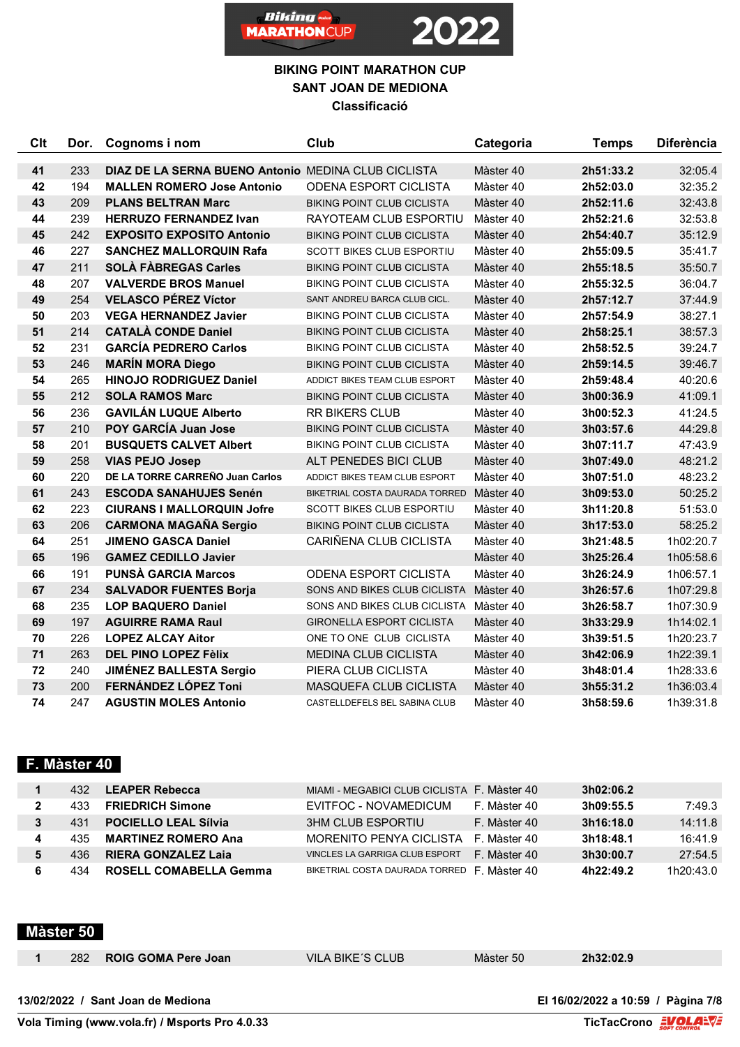

| Clt | Dor. | Cognoms i nom                                       | Club                                   | Categoria | <b>Temps</b> | <b>Diferència</b> |
|-----|------|-----------------------------------------------------|----------------------------------------|-----------|--------------|-------------------|
| 41  | 233  | DIAZ DE LA SERNA BUENO Antonio MEDINA CLUB CICLISTA |                                        | Màster 40 | 2h51:33.2    | 32:05.4           |
| 42  | 194  | <b>MALLEN ROMERO Jose Antonio</b>                   | <b>ODENA ESPORT CICLISTA</b>           | Màster 40 | 2h52:03.0    | 32:35.2           |
| 43  | 209  | <b>PLANS BELTRAN Marc</b>                           | <b>BIKING POINT CLUB CICLISTA</b>      | Màster 40 | 2h52:11.6    | 32:43.8           |
| 44  | 239  | <b>HERRUZO FERNANDEZ Ivan</b>                       | RAYOTEAM CLUB ESPORTIU                 | Màster 40 | 2h52:21.6    | 32:53.8           |
| 45  | 242  | <b>EXPOSITO EXPOSITO Antonio</b>                    | <b>BIKING POINT CLUB CICLISTA</b>      | Màster 40 | 2h54:40.7    | 35:12.9           |
| 46  | 227  | <b>SANCHEZ MALLORQUIN Rafa</b>                      | <b>SCOTT BIKES CLUB ESPORTIU</b>       | Màster 40 | 2h55:09.5    | 35:41.7           |
| 47  | 211  | <b>SOLÀ FÀBREGAS Carles</b>                         | <b>BIKING POINT CLUB CICLISTA</b>      | Màster 40 | 2h55:18.5    | 35:50.7           |
| 48  | 207  | <b>VALVERDE BROS Manuel</b>                         | <b>BIKING POINT CLUB CICLISTA</b>      | Màster 40 | 2h55:32.5    | 36:04.7           |
| 49  | 254  | <b>VELASCO PÉREZ Víctor</b>                         | SANT ANDREU BARCA CLUB CICL.           | Màster 40 | 2h57:12.7    | 37:44.9           |
| 50  | 203  | <b>VEGA HERNANDEZ Javier</b>                        | <b>BIKING POINT CLUB CICLISTA</b>      | Màster 40 | 2h57:54.9    | 38:27.1           |
| 51  | 214  | <b>CATALÀ CONDE Daniel</b>                          | <b>BIKING POINT CLUB CICLISTA</b>      | Màster 40 | 2h58:25.1    | 38:57.3           |
| 52  | 231  | <b>GARCÍA PEDRERO Carlos</b>                        | <b>BIKING POINT CLUB CICLISTA</b>      | Màster 40 | 2h58:52.5    | 39:24.7           |
| 53  | 246  | <b>MARÍN MORA Diego</b>                             | <b>BIKING POINT CLUB CICLISTA</b>      | Màster 40 | 2h59:14.5    | 39:46.7           |
| 54  | 265  | <b>HINOJO RODRIGUEZ Daniel</b>                      | ADDICT BIKES TEAM CLUB ESPORT          | Màster 40 | 2h59:48.4    | 40:20.6           |
| 55  | 212  | <b>SOLA RAMOS Marc</b>                              | <b>BIKING POINT CLUB CICLISTA</b>      | Màster 40 | 3h00:36.9    | 41:09.1           |
| 56  | 236  | <b>GAVILÁN LUQUE Alberto</b>                        | <b>RR BIKERS CLUB</b>                  | Màster 40 | 3h00:52.3    | 41:24.5           |
| 57  | 210  | POY GARCÍA Juan Jose                                | <b>BIKING POINT CLUB CICLISTA</b>      | Màster 40 | 3h03:57.6    | 44:29.8           |
| 58  | 201  | <b>BUSQUETS CALVET Albert</b>                       | <b>BIKING POINT CLUB CICLISTA</b>      | Màster 40 | 3h07:11.7    | 47:43.9           |
| 59  | 258  | <b>VIAS PEJO Josep</b>                              | ALT PENEDES BICI CLUB                  | Màster 40 | 3h07:49.0    | 48:21.2           |
| 60  | 220  | DE LA TORRE CARREÑO Juan Carlos                     | ADDICT BIKES TEAM CLUB ESPORT          | Màster 40 | 3h07:51.0    | 48:23.2           |
| 61  | 243  | <b>ESCODA SANAHUJES Senén</b>                       | BIKETRIAL COSTA DAURADA TORRED         | Màster 40 | 3h09:53.0    | 50:25.2           |
| 62  | 223  | <b>CIURANS I MALLORQUIN Jofre</b>                   | <b>SCOTT BIKES CLUB ESPORTIU</b>       | Màster 40 | 3h11:20.8    | 51:53.0           |
| 63  | 206  | <b>CARMONA MAGAÑA Sergio</b>                        | <b>BIKING POINT CLUB CICLISTA</b>      | Màster 40 | 3h17:53.0    | 58:25.2           |
| 64  | 251  | <b>JIMENO GASCA Daniel</b>                          | CARIÑENA CLUB CICLISTA                 | Màster 40 | 3h21:48.5    | 1h02:20.7         |
| 65  | 196  | <b>GAMEZ CEDILLO Javier</b>                         |                                        | Màster 40 | 3h25:26.4    | 1h05:58.6         |
| 66  | 191  | <b>PUNSÀ GARCIA Marcos</b>                          | <b>ODENA ESPORT CICLISTA</b>           | Màster 40 | 3h26:24.9    | 1h06:57.1         |
| 67  | 234  | <b>SALVADOR FUENTES Borja</b>                       | SONS AND BIKES CLUB CICLISTA Màster 40 |           | 3h26:57.6    | 1h07:29.8         |
| 68  | 235  | <b>LOP BAQUERO Daniel</b>                           | SONS AND BIKES CLUB CICLISTA Màster 40 |           | 3h26:58.7    | 1h07:30.9         |
| 69  | 197  | <b>AGUIRRE RAMA Raul</b>                            | <b>GIRONELLA ESPORT CICLISTA</b>       | Màster 40 | 3h33:29.9    | 1h14:02.1         |
| 70  | 226  | <b>LOPEZ ALCAY Aitor</b>                            | ONE TO ONE CLUB CICLISTA               | Màster 40 | 3h39:51.5    | 1h20:23.7         |
| 71  | 263  | <b>DEL PINO LOPEZ Fèlix</b>                         | <b>MEDINA CLUB CICLISTA</b>            | Màster 40 | 3h42:06.9    | 1h22:39.1         |
| 72  | 240  | <b>JIMÉNEZ BALLESTA Sergio</b>                      | PIERA CLUB CICLISTA                    | Màster 40 | 3h48:01.4    | 1h28:33.6         |
| 73  | 200  | FERNÁNDEZ LÓPEZ Toni                                | MASQUEFA CLUB CICLISTA                 | Màster 40 | 3h55:31.2    | 1h36:03.4         |
| 74  | 247  | <b>AGUSTIN MOLES Antonio</b>                        | CASTELLDEFELS BEL SABINA CLUB          | Màster 40 | 3h58:59.6    | 1h39:31.8         |

# **F. Màster 40**

| 432  | <b>LEAPER Rebecca</b>       | MIAMI - MEGABICI CLUB CICLISTA F. Màster 40 |              | 3h02:06.2 |           |
|------|-----------------------------|---------------------------------------------|--------------|-----------|-----------|
| 433  | <b>FRIEDRICH Simone</b>     | EVITFOC - NOVAMEDICUM                       | F. Màster 40 | 3h09:55.5 | 7:49.3    |
| 431  | <b>POCIELLO LEAL Sílvia</b> | 3HM CLUB ESPORTIU                           | F. Màster 40 | 3h16:18.0 | 14:11.8   |
| 435  | <b>MARTINEZ ROMERO Ana</b>  | MORENITO PENYA CICLISTA                     | F Màster 40  | 3h18:48.1 | 16:41.9   |
| 436. | <b>RIERA GONZALEZ Laja</b>  | VINCLES LA GARRIGA CLUB ESPORT              | F. Màster 40 | 3h30:00.7 | 27:54.5   |
| 434  | ROSELL COMABELLA Gemma      | BIKETRIAL COSTA DAURADA TORRED              | F. Màster 40 | 4h22:49.2 | 1h20:43.0 |

# **Màster 50**

| 282 | <b>ROIG GOMA Pere Joan</b> | VILA BIKE'S CLUB | Màster 50 | 2h32:02.9 |
|-----|----------------------------|------------------|-----------|-----------|
|     |                            |                  |           |           |